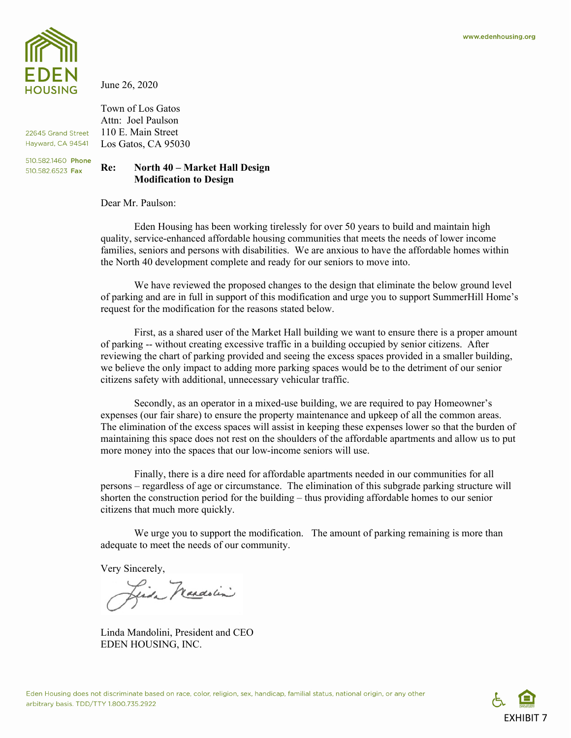

22645 Grand Street Hayward, CA 94541 510.582.1460 Phone 510.582.6523 Fax

June 26, 2020

Town of Los Gatos Attn: Joel Paulson 110 E. Main Street Los Gatos, CA 95030

## **Re: North 40 – Market Hall Design Modification to Design**

Dear Mr. Paulson:

Eden Housing has been working tirelessly for over 50 years to build and maintain high quality, service-enhanced affordable housing communities that meets the needs of lower income families, seniors and persons with disabilities. We are anxious to have the affordable homes within the North 40 development complete and ready for our seniors to move into.

We have reviewed the proposed changes to the design that eliminate the below ground level of parking and are in full in support of this modification and urge you to support SummerHill Home's request for the modification for the reasons stated below.

First, as a shared user of the Market Hall building we want to ensure there is a proper amount of parking -- without creating excessive traffic in a building occupied by senior citizens. After reviewing the chart of parking provided and seeing the excess spaces provided in a smaller building, we believe the only impact to adding more parking spaces would be to the detriment of our senior citizens safety with additional, unnecessary vehicular traffic.

Secondly, as an operator in a mixed-use building, we are required to pay Homeowner's expenses (our fair share) to ensure the property maintenance and upkeep of all the common areas. The elimination of the excess spaces will assist in keeping these expenses lower so that the burden of maintaining this space does not rest on the shoulders of the affordable apartments and allow us to put more money into the spaces that our low-income seniors will use.

Finally, there is a dire need for affordable apartments needed in our communities for all persons – regardless of age or circumstance. The elimination of this subgrade parking structure will shorten the construction period for the building – thus providing affordable homes to our senior citizens that much more quickly.

We urge you to support the modification. The amount of parking remaining is more than adequate to meet the needs of our community.

Very Sincerely,

Linda Mandolin

Linda Mandolini, President and CEO EDEN HOUSING, INC.